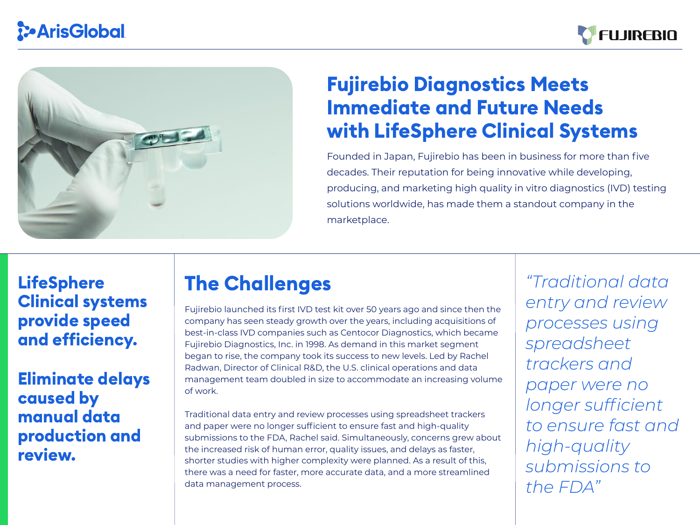# The Challenges

# Fujirebio Diagnostics Meets Immediate and Future Needs with LifeSphere Clinical Systems

Founded in Japan, Fujirebio has been in business for more than five decades. Their reputation for being innovative while developing, producing, and marketing high quality in vitro diagnostics (IVD) testing solutions worldwide, has made them a standout company in the marketplace.

Fujirebio launched its first IVD test kit over 50 years ago and since then the company has seen steady growth over the years, including acquisitions of best-in-class IVD companies such as Centocor Diagnostics, which became Fujirebio Diagnostics, Inc. in 1998. As demand in this market segment began to rise, the company took its success to new levels. Led by Rachel Radwan, Director of Clinical R&D, the U.S. clinical operations and data management team doubled in size to accommodate an increasing volume of work.





LifeSphere Clinical systems provide speed and efficiency.

> Traditional data entry and review processes using spreadsheet trackers and paper were no longer sufficient to ensure fast and high-quality submissions to the FDA, Rachel said. Simultaneously, concerns grew about the increased risk of human error, quality issues, and delays as faster, shorter studies with higher complexity were planned. As a result of this, there was a need for faster, more accurate data, and a more streamlined data management process.

*"Traditional data entry and review processes using spreadsheet trackers and paper were no longer sufficient to ensure fast and high-quality submissions to*

*the FDA"*





Eliminate delays caused by manual data production and review.